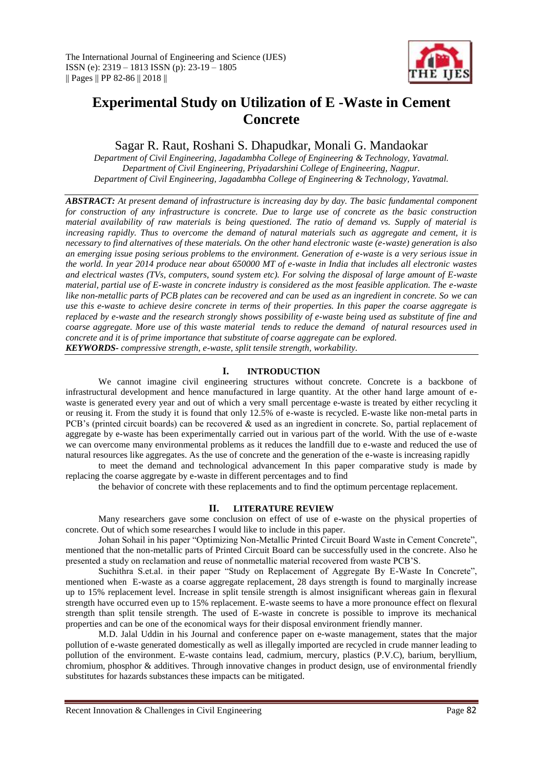

# **Experimental Study on Utilization of E -Waste in Cement Concrete**

Sagar R. Raut, Roshani S. Dhapudkar, Monali G. Mandaokar

*Department of Civil Engineering, Jagadambha College of Engineering & Technology, Yavatmal. Department of Civil Engineering, Priyadarshini College of Engineering, Nagpur. Department of Civil Engineering, Jagadambha College of Engineering & Technology, Yavatmal.*

*ABSTRACT: At present demand of infrastructure is increasing day by day. The basic fundamental component for construction of any infrastructure is concrete. Due to large use of concrete as the basic construction material availability of raw materials is being questioned. The ratio of demand vs. Supply of material is increasing rapidly. Thus to overcome the demand of natural materials such as aggregate and cement, it is necessary to find alternatives of these materials. On the other hand electronic waste (e-waste) generation is also an emerging issue posing serious problems to the environment. Generation of e-waste is a very serious issue in the world. In year 2014 produce near about 650000 MT of e-waste in India that includes all electronic wastes and electrical wastes (TVs, computers, sound system etc). For solving the disposal of large amount of E-waste material, partial use of E-waste in concrete industry is considered as the most feasible application. The e-waste like non-metallic parts of PCB plates can be recovered and can be used as an ingredient in concrete. So we can use this e-waste to achieve desire concrete in terms of their properties. In this paper the coarse aggregate is replaced by e-waste and the research strongly shows possibility of e-waste being used as substitute of fine and coarse aggregate. More use of this waste material tends to reduce the demand of natural resources used in concrete and it is of prime importance that substitute of coarse aggregate can be explored. KEYWORDS- compressive strength, e-waste, split tensile strength, workability.* 

## **I. INTRODUCTION**

We cannot imagine civil engineering structures without concrete. Concrete is a backbone of infrastructural development and hence manufactured in large quantity. At the other hand large amount of ewaste is generated every year and out of which a very small percentage e-waste is treated by either recycling it or reusing it. From the study it is found that only 12.5% of e-waste is recycled. E-waste like non-metal parts in PCB's (printed circuit boards) can be recovered & used as an ingredient in concrete. So, partial replacement of aggregate by e-waste has been experimentally carried out in various part of the world. With the use of e-waste we can overcome many environmental problems as it reduces the landfill due to e-waste and reduced the use of natural resources like aggregates. As the use of concrete and the generation of the e-waste is increasing rapidly

to meet the demand and technological advancement In this paper comparative study is made by replacing the coarse aggregate by e-waste in different percentages and to find

the behavior of concrete with these replacements and to find the optimum percentage replacement.

# **II. LITERATURE REVIEW**

Many researchers gave some conclusion on effect of use of e-waste on the physical properties of concrete. Out of which some researches I would like to include in this paper.

Johan Sohail in his paper "Optimizing Non-Metallic Printed Circuit Board Waste in Cement Concrete", mentioned that the non-metallic parts of Printed Circuit Board can be successfully used in the concrete. Also he presented a study on reclamation and reuse of nonmetallic material recovered from waste PCB'S.

Suchithra S.et.al. in their paper "Study on Replacement of Aggregate By E-Waste In Concrete", mentioned when E-waste as a coarse aggregate replacement, 28 days strength is found to marginally increase up to 15% replacement level. Increase in split tensile strength is almost insignificant whereas gain in flexural strength have occurred even up to 15% replacement. E-waste seems to have a more pronounce effect on flexural strength than split tensile strength. The used of E-waste in concrete is possible to improve its mechanical properties and can be one of the economical ways for their disposal environment friendly manner.

M.D. Jalal Uddin in his Journal and conference paper on e-waste management, states that the major pollution of e-waste generated domestically as well as illegally imported are recycled in crude manner leading to pollution of the environment. E-waste contains lead, cadmium, mercury, plastics (P.V.C), barium, beryllium, chromium, phosphor & additives. Through innovative changes in product design, use of environmental friendly substitutes for hazards substances these impacts can be mitigated.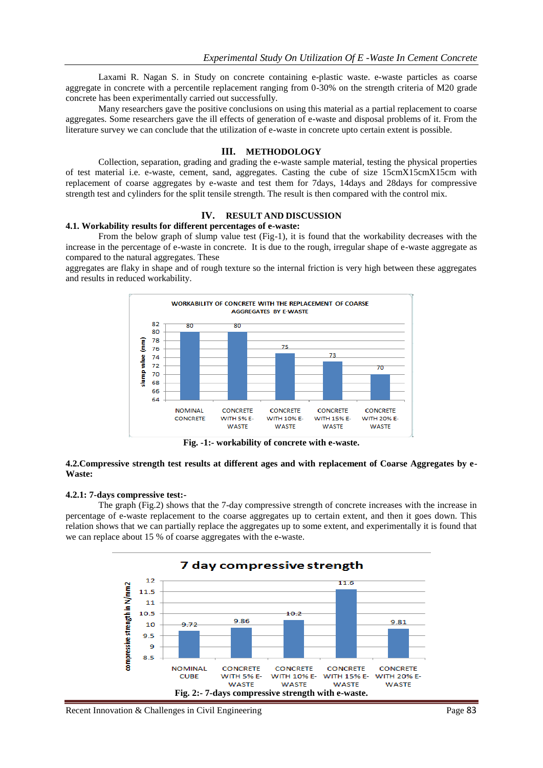Laxami R. Nagan S. in Study on concrete containing e-plastic waste. e-waste particles as coarse aggregate in concrete with a percentile replacement ranging from 0-30% on the strength criteria of M20 grade concrete has been experimentally carried out successfully.

Many researchers gave the positive conclusions on using this material as a partial replacement to coarse aggregates. Some researchers gave the ill effects of generation of e-waste and disposal problems of it. From the literature survey we can conclude that the utilization of e-waste in concrete upto certain extent is possible.

#### **III. METHODOLOGY**

Collection, separation, grading and grading the e-waste sample material, testing the physical properties of test material i.e. e-waste, cement, sand, aggregates. Casting the cube of size 15cmX15cmX15cm with replacement of coarse aggregates by e-waste and test them for 7days, 14days and 28days for compressive strength test and cylinders for the split tensile strength. The result is then compared with the control mix.

#### **IV. RESULT AND DISCUSSION**

#### **4.1. Workability results for different percentages of e-waste:**

From the below graph of slump value test (Fig-1), it is found that the workability decreases with the increase in the percentage of e-waste in concrete. It is due to the rough, irregular shape of e-waste aggregate as compared to the natural aggregates. These

aggregates are flaky in shape and of rough texture so the internal friction is very high between these aggregates and results in reduced workability.



**Fig. -1:- workability of concrete with e-waste.**

#### **4.2.Compressive strength test results at different ages and with replacement of Coarse Aggregates by e-Waste:**

#### **4.2.1: 7-days compressive test:-**

The graph (Fig.2) shows that the 7-day compressive strength of concrete increases with the increase in percentage of e-waste replacement to the coarse aggregates up to certain extent, and then it goes down. This relation shows that we can partially replace the aggregates up to some extent, and experimentally it is found that we can replace about 15 % of coarse aggregates with the e-waste.

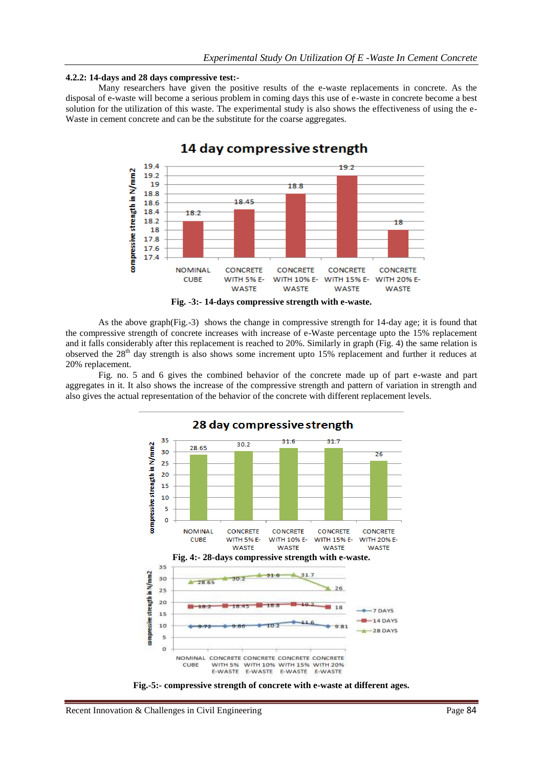#### **4.2.2: 14-days and 28 days compressive test:-**

Many researchers have given the positive results of the e-waste replacements in concrete. As the disposal of e-waste will become a serious problem in coming days this use of e-waste in concrete become a best solution for the utilization of this waste. The experimental study is also shows the effectiveness of using the e-Waste in cement concrete and can be the substitute for the coarse aggregates.



# 14 day compressive strength



Fig. no. 5 and 6 gives the combined behavior of the concrete made up of part e-waste and part aggregates in it. It also shows the increase of the compressive strength and pattern of variation in strength and also gives the actual representation of the behavior of the concrete with different replacement levels.



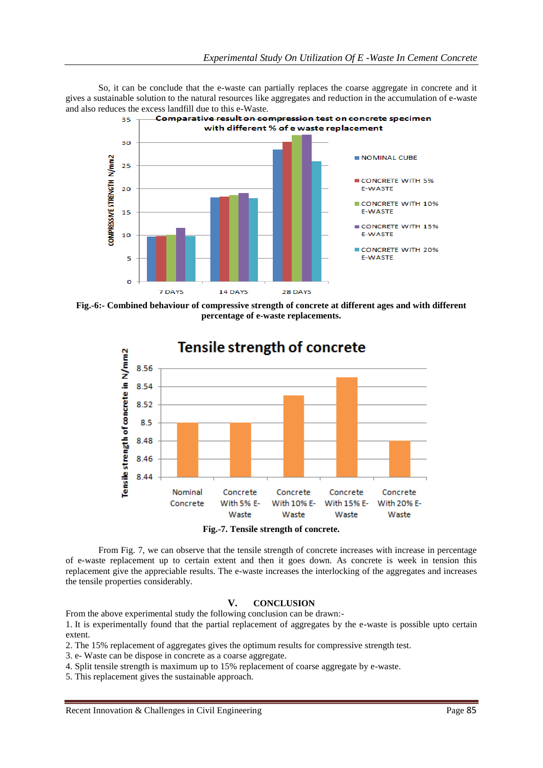So, it can be conclude that the e-waste can partially replaces the coarse aggregate in concrete and it gives a sustainable solution to the natural resources like aggregates and reduction in the accumulation of e-waste and also reduces the excess landfill due to this e-Waste.<br> $\frac{35}{2}$  Comparative result on compression test on concrete specimen



**Fig.-6:- Combined behaviour of compressive strength of concrete at different ages and with different percentage of e-waste replacements.**



**Fig.-7. Tensile strength of concrete.**

From Fig. 7, we can observe that the tensile strength of concrete increases with increase in percentage of e-waste replacement up to certain extent and then it goes down. As concrete is week in tension this replacement give the appreciable results. The e-waste increases the interlocking of the aggregates and increases the tensile properties considerably.

## **V. CONCLUSION**

From the above experimental study the following conclusion can be drawn:-

1. It is experimentally found that the partial replacement of aggregates by the e-waste is possible upto certain extent.

2. The 15% replacement of aggregates gives the optimum results for compressive strength test.

3. e- Waste can be dispose in concrete as a coarse aggregate.

4. Split tensile strength is maximum up to 15% replacement of coarse aggregate by e-waste.

5. This replacement gives the sustainable approach.